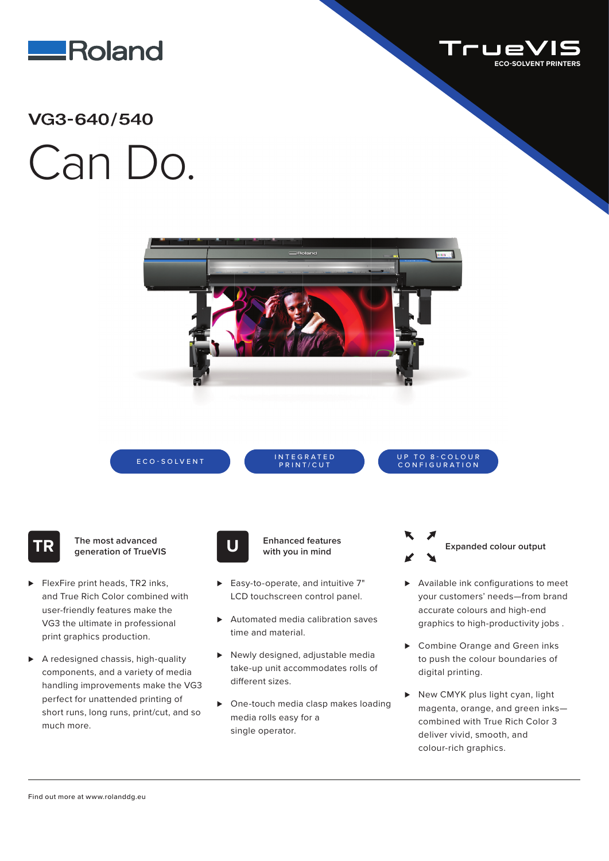



## Can Do. **/**



ECO-SOLVENT INTEGRATED

PRINT/CUT

UP TO 8-COLOUR CONFIGURATION

**TR The most advanced generation of TrueVIS**

- ► FlexFire print heads, TR2 inks, and True Rich Color combined with user-friendly features make the VG3 the ultimate in professional print graphics production.
- ▶ A redesigned chassis, high-quality components, and a variety of media handling improvements make the VG3 perfect for unattended printing of short runs, long runs, print/cut, and so much more.



**Enhanced features U with you in mind**

- ► Easy-to-operate, and intuitive 7" LCD touchscreen control panel.
- ▶ Automated media calibration saves time and material.
- ► Newly designed, adjustable media take-up unit accommodates rolls of different sizes.
- ► One-touch media clasp makes loading media rolls easy for a single operator.



- ▶ Available ink configurations to meet your customers' needs—from brand accurate colours and high-end graphics to high-productivity jobs .
- ► Combine Orange and Green inks to push the colour boundaries of digital printing.
- ► New CMYK plus light cyan, light magenta, orange, and green inks combined with True Rich Color 3 deliver vivid, smooth, and colour-rich graphics.